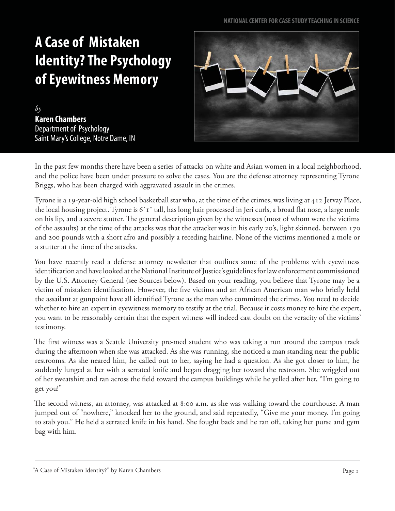## **A Case of Mistaken Identity? The Psychology of Eyewitness Memory**

*by* **Karen Chambers**  Department of Psychology Saint Mary's College, Notre Dame, IN



In the past few months there have been a series of attacks on white and Asian women in a local neighborhood, and the police have been under pressure to solve the cases. You are the defense attorney representing Tyrone Briggs, who has been charged with aggravated assault in the crimes.

Tyrone is a 19-year-old high school basketball star who, at the time of the crimes, was living at 412 Jervay Place, the local housing project. Tyrone is 6´1" tall, has long hair processed in Jeri curls, a broad flat nose, a large mole on his lip, and a severe stutter. The general description given by the witnesses (most of whom were the victims of the assaults) at the time of the attacks was that the attacker was in his early 20's, light skinned, between 170 and 200 pounds with a short afro and possibly a receding hairline. None of the victims mentioned a mole or a stutter at the time of the attacks.

You have recently read a defense attorney newsletter that outlines some of the problems with eyewitness identification and have looked at the National Institute of Justice's guidelines for law enforcement commissioned by the U.S. Attorney General (see Sources below). Based on your reading, you believe that Tyrone may be a victim of mistaken identification. However, the five victims and an African American man who briefly held the assailant at gunpoint have all identified Tyrone as the man who committed the crimes. You need to decide whether to hire an expert in eyewitness memory to testify at the trial. Because it costs money to hire the expert, you want to be reasonably certain that the expert witness will indeed cast doubt on the veracity of the victims' testimony.

The first witness was a Seattle University pre-med student who was taking a run around the campus track during the afternoon when she was attacked. As she was running, she noticed a man standing near the public restrooms. As she neared him, he called out to her, saying he had a question. As she got closer to him, he suddenly lunged at her with a serrated knife and began dragging her toward the restroom. She wriggled out of her sweatshirt and ran across the field toward the campus buildings while he yelled after her, "I'm going to get you!"

The second witness, an attorney, was attacked at 8:00 a.m. as she was walking toward the courthouse. A man jumped out of "nowhere," knocked her to the ground, and said repeatedly, "Give me your money. I'm going to stab you." He held a serrated knife in his hand. She fought back and he ran off, taking her purse and gym bag with him.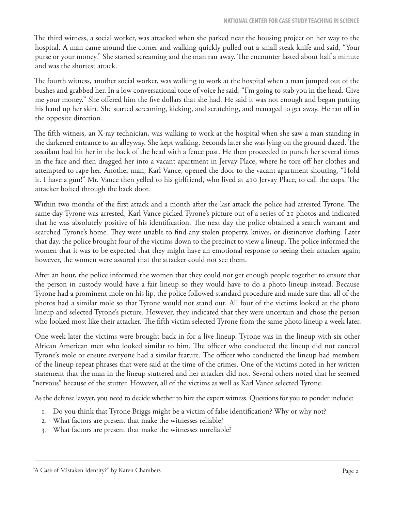The third witness, a social worker, was attacked when she parked near the housing project on her way to the hospital. A man came around the corner and walking quickly pulled out a small steak knife and said, "Your purse or your money." She started screaming and the man ran away. The encounter lasted about half a minute and was the shortest attack.

The fourth witness, another social worker, was walking to work at the hospital when a man jumped out of the bushes and grabbed her. In a low conversational tone of voice he said, "I'm going to stab you in the head. Give me your money." She offered him the five dollars that she had. He said it was not enough and began putting his hand up her skirt. She started screaming, kicking, and scratching, and managed to get away. He ran off in the opposite direction.

The fifth witness, an X-ray technician, was walking to work at the hospital when she saw a man standing in the darkened entrance to an alleyway. She kept walking. Seconds later she was lying on the ground dazed. The assailant had hit her in the back of the head with a fence post. He then proceeded to punch her several times in the face and then dragged her into a vacant apartment in Jervay Place, where he tore off her clothes and attempted to rape her. Another man, Karl Vance, opened the door to the vacant apartment shouting, "Hold it. I have a gun!" Mr. Vance then yelled to his girlfriend, who lived at 410 Jervay Place, to call the cops. The attacker bolted through the back door.

Within two months of the first attack and a month after the last attack the police had arrested Tyrone. The same day Tyrone was arrested, Karl Vance picked Tyrone's picture out of a series of 21 photos and indicated that he was absolutely positive of his identification. The next day the police obtained a search warrant and searched Tyrone's home. They were unable to find any stolen property, knives, or distinctive clothing. Later that day, the police brought four of the victims down to the precinct to view a lineup. The police informed the women that it was to be expected that they might have an emotional response to seeing their attacker again; however, the women were assured that the attacker could not see them.

After an hour, the police informed the women that they could not get enough people together to ensure that the person in custody would have a fair lineup so they would have to do a photo lineup instead. Because Tyrone had a prominent mole on his lip, the police followed standard procedure and made sure that all of the photos had a similar mole so that Tyrone would not stand out. All four of the victims looked at the photo lineup and selected Tyrone's picture. However, they indicated that they were uncertain and chose the person who looked most like their attacker. The fifth victim selected Tyrone from the same photo lineup a week later.

One week later the victims were brought back in for a live lineup. Tyrone was in the lineup with six other African American men who looked similar to him. The officer who conducted the lineup did not conceal Tyrone's mole or ensure everyone had a similar feature. The officer who conducted the lineup had members of the lineup repeat phrases that were said at the time of the crimes. One of the victims noted in her written statement that the man in the lineup stuttered and her attacker did not. Several others noted that he seemed "nervous" because of the stutter. However, all of the victims as well as Karl Vance selected Tyrone.

As the defense lawyer, you need to decide whether to hire the expert witness. Questions for you to ponder include:

- 1. Do you think that Tyrone Briggs might be a victim of false identification? Why or why not?
- 2. What factors are present that make the witnesses reliable?
- 3. What factors are present that make the witnesses unreliable?